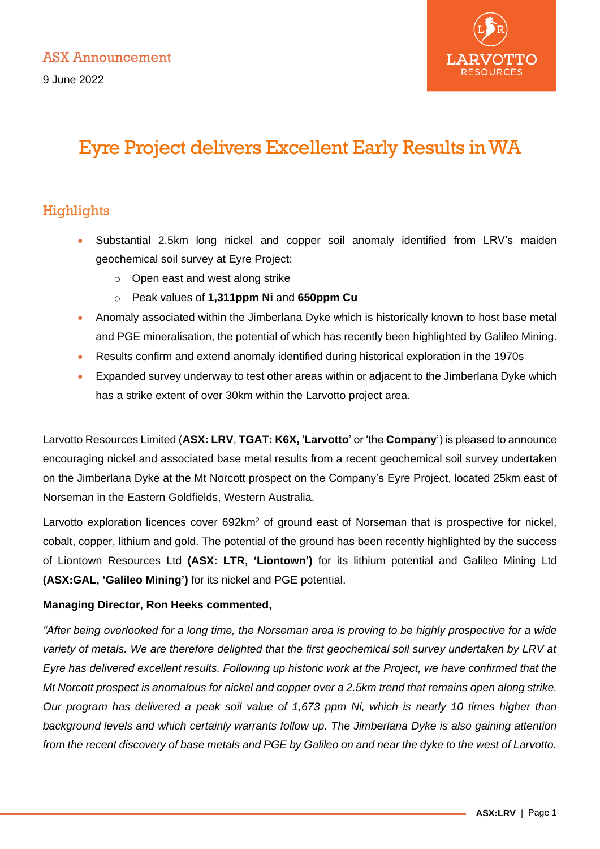

# Eyre Project delivers Excellent Early Results in WA

# Highlights

- Substantial 2.5km long nickel and copper soil anomaly identified from LRV's maiden geochemical soil survey at Eyre Project:
	- o Open east and west along strike
	- o Peak values of **1,311ppm Ni** and **650ppm Cu**
- Anomaly associated within the Jimberlana Dyke which is historically known to host base metal and PGE mineralisation, the potential of which has recently been highlighted by Galileo Mining.
- Results confirm and extend anomaly identified during historical exploration in the 1970s
- Expanded survey underway to test other areas within or adjacent to the Jimberlana Dyke which has a strike extent of over 30km within the Larvotto project area.

Larvotto Resources Limited (**ASX: LRV**, **TGAT: K6X,** '**Larvotto**' or 'the **Company**') is pleased to announce encouraging nickel and associated base metal results from a recent geochemical soil survey undertaken on the Jimberlana Dyke at the Mt Norcott prospect on the Company's Eyre Project, located 25km east of Norseman in the Eastern Goldfields, Western Australia.

Larvotto exploration licences cover 692km<sup>2</sup> of ground east of Norseman that is prospective for nickel, cobalt, copper, lithium and gold. The potential of the ground has been recently highlighted by the success of Liontown Resources Ltd **(ASX: LTR, 'Liontown')** for its lithium potential and Galileo Mining Ltd **(ASX:GAL, 'Galileo Mining')** for its nickel and PGE potential.

## **Managing Director, Ron Heeks commented,**

*"After being overlooked for a long time, the Norseman area is proving to be highly prospective for a wide*  variety of metals. We are therefore delighted that the first geochemical soil survey undertaken by LRV at *Eyre has delivered excellent results. Following up historic work at the Project, we have confirmed that the Mt Norcott prospect is anomalous for nickel and copper over a 2.5km trend that remains open along strike. Our program has delivered a peak soil value of 1,673 ppm Ni, which is nearly 10 times higher than background levels and which certainly warrants follow up. The Jimberlana Dyke is also gaining attention from the recent discovery of base metals and PGE by Galileo on and near the dyke to the west of Larvotto.*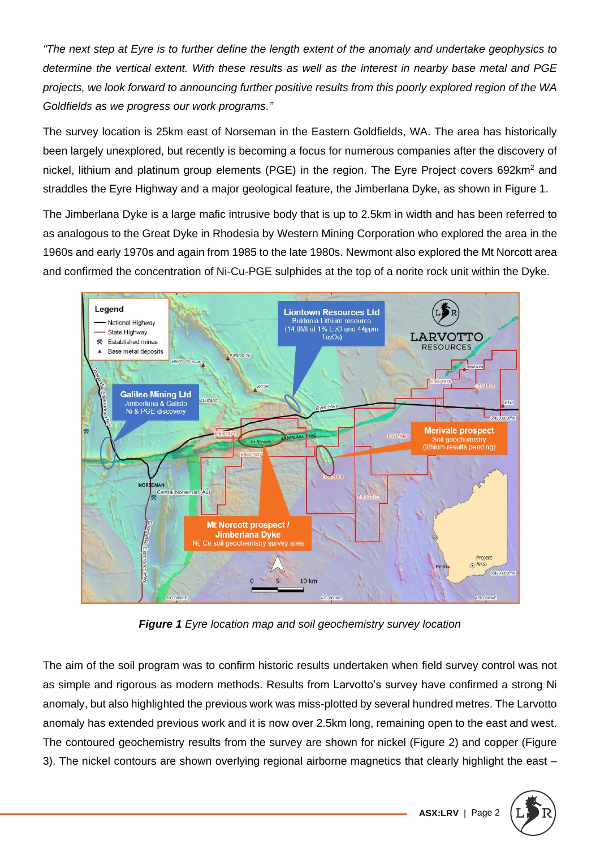*"The next step at Eyre is to further define the length extent of the anomaly and undertake geophysics to determine the vertical extent. With these results as well as the interest in nearby base metal and PGE projects, we look forward to announcing further positive results from this poorly explored region of the WA Goldfields as we progress our work programs."* 

The survey location is 25km east of Norseman in the Eastern Goldfields, WA. The area has historically been largely unexplored, but recently is becoming a focus for numerous companies after the discovery of nickel, lithium and platinum group elements (PGE) in the region. The Eyre Project covers 692km<sup>2</sup> and straddles the Eyre Highway and a major geological feature, the Jimberlana Dyke, as shown in Figure 1.

The Jimberlana Dyke is a large mafic intrusive body that is up to 2.5km in width and has been referred to as analogous to the Great Dyke in Rhodesia by Western Mining Corporation who explored the area in the 1960s and early 1970s and again from 1985 to the late 1980s. Newmont also explored the Mt Norcott area and confirmed the concentration of Ni-Cu-PGE sulphides at the top of a norite rock unit within the Dyke.



*Figure 1 Eyre location map and soil geochemistry survey location*

The aim of the soil program was to confirm historic results undertaken when field survey control was not as simple and rigorous as modern methods. Results from Larvotto's survey have confirmed a strong Ni anomaly, but also highlighted the previous work was miss-plotted by several hundred metres. The Larvotto anomaly has extended previous work and it is now over 2.5km long, remaining open to the east and west. The contoured geochemistry results from the survey are shown for nickel (Figure 2) and copper (Figure 3). The nickel contours are shown overlying regional airborne magnetics that clearly highlight the east –

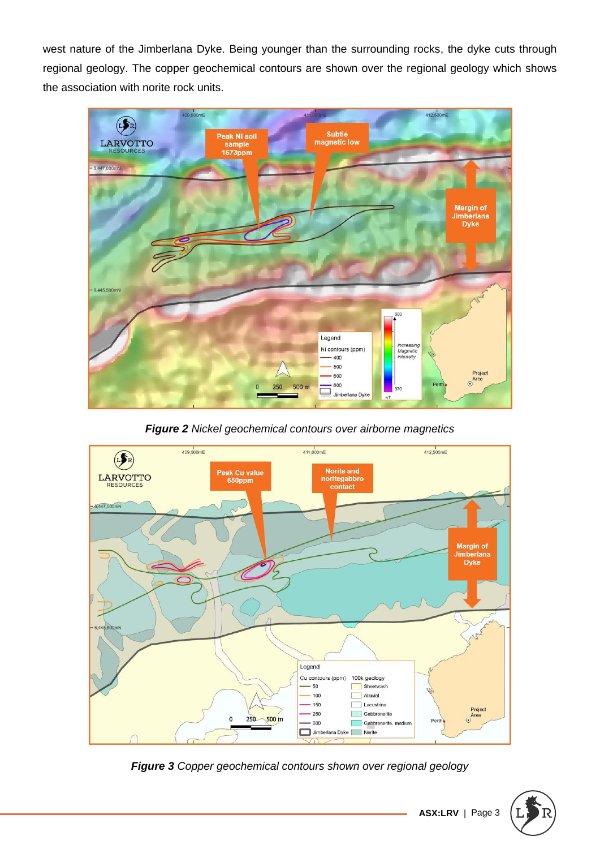west nature of the Jimberlana Dyke. Being younger than the surrounding rocks, the dyke cuts through regional geology. The copper geochemical contours are shown over the regional geology which shows the association with norite rock units.



*Figure 2 Nickel geochemical contours over airborne magnetics*



*Figure 3 Copper geochemical contours shown over regional geology*



**ASX:LRV** | Page 3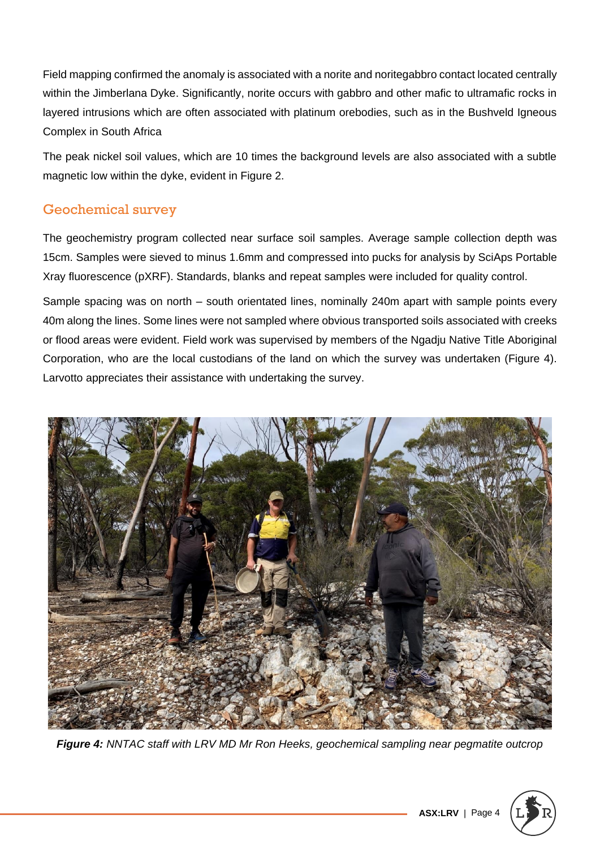Field mapping confirmed the anomaly is associated with a norite and noritegabbro contact located centrally within the Jimberlana Dyke. Significantly, norite occurs with gabbro and other mafic to ultramafic rocks in layered intrusions which are often associated with platinum orebodies, such as in the Bushveld Igneous Complex in South Africa

The peak nickel soil values, which are 10 times the background levels are also associated with a subtle magnetic low within the dyke, evident in Figure 2.

# Geochemical survey

The geochemistry program collected near surface soil samples. Average sample collection depth was 15cm. Samples were sieved to minus 1.6mm and compressed into pucks for analysis by SciAps Portable Xray fluorescence (pXRF). Standards, blanks and repeat samples were included for quality control.

Sample spacing was on north – south orientated lines, nominally 240m apart with sample points every 40m along the lines. Some lines were not sampled where obvious transported soils associated with creeks or flood areas were evident. Field work was supervised by members of the Ngadju Native Title Aboriginal Corporation, who are the local custodians of the land on which the survey was undertaken (Figure 4). Larvotto appreciates their assistance with undertaking the survey.



*Figure 4: NNTAC staff with LRV MD Mr Ron Heeks, geochemical sampling near pegmatite outcrop*

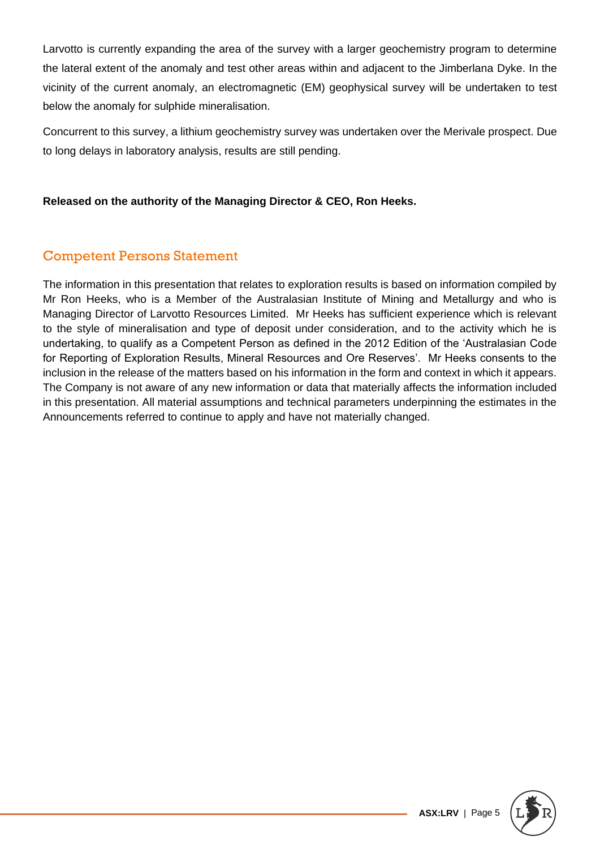Larvotto is currently expanding the area of the survey with a larger geochemistry program to determine the lateral extent of the anomaly and test other areas within and adjacent to the Jimberlana Dyke. In the vicinity of the current anomaly, an electromagnetic (EM) geophysical survey will be undertaken to test below the anomaly for sulphide mineralisation.

Concurrent to this survey, a lithium geochemistry survey was undertaken over the Merivale prospect. Due to long delays in laboratory analysis, results are still pending.

### **Released on the authority of the Managing Director & CEO, Ron Heeks.**

# Competent Persons Statement

The information in this presentation that relates to exploration results is based on information compiled by Mr Ron Heeks, who is a Member of the Australasian Institute of Mining and Metallurgy and who is Managing Director of Larvotto Resources Limited. Mr Heeks has sufficient experience which is relevant to the style of mineralisation and type of deposit under consideration, and to the activity which he is undertaking, to qualify as a Competent Person as defined in the 2012 Edition of the 'Australasian Code for Reporting of Exploration Results, Mineral Resources and Ore Reserves'. Mr Heeks consents to the inclusion in the release of the matters based on his information in the form and context in which it appears. The Company is not aware of any new information or data that materially affects the information included in this presentation. All material assumptions and technical parameters underpinning the estimates in the Announcements referred to continue to apply and have not materially changed.

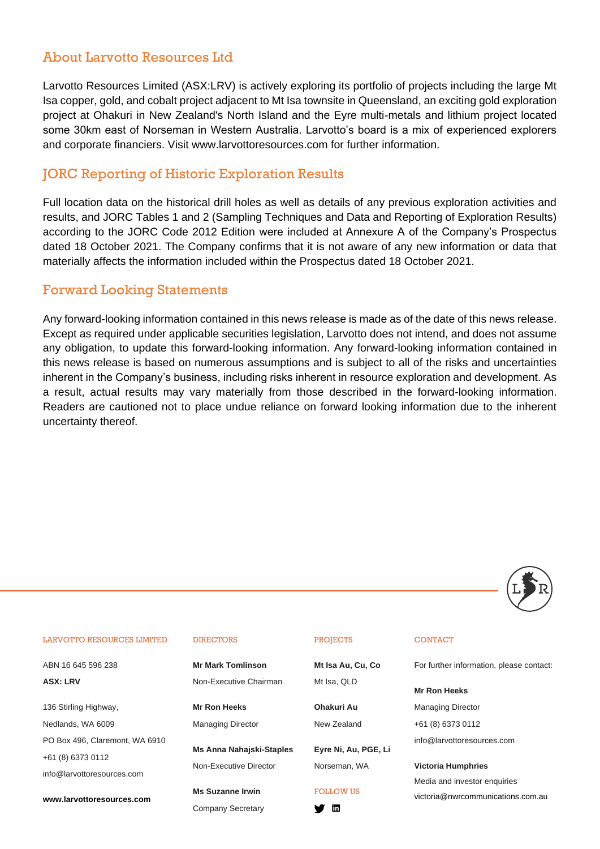### About Larvotto Resources Ltd

Larvotto Resources Limited (ASX:LRV) is actively exploring its portfolio of projects including the large Mt Isa copper, gold, and cobalt project adjacent to Mt Isa townsite in Queensland, an exciting gold exploration project at Ohakuri in New Zealand's North Island and the Eyre multi-metals and lithium project located some 30km east of Norseman in Western Australia. Larvotto's board is a mix of experienced explorers and corporate financiers. Visit www.larvottoresources.com for further information.

### JORC Reporting of Historic Exploration Results

Full location data on the historical drill holes as well as details of any previous exploration activities and results, and JORC Tables 1 and 2 (Sampling Techniques and Data and Reporting of Exploration Results) according to the JORC Code 2012 Edition were included at Annexure A of the Company's Prospectus dated 18 October 2021. The Company confirms that it is not aware of any new information or data that materially affects the information included within the Prospectus dated 18 October 2021.

### Forward Looking Statements

Any forward-looking information contained in this news release is made as of the date of this news release. Except as required under applicable securities legislation, Larvotto does not intend, and does not assume any obligation, to update this forward-looking information. Any forward-looking information contained in this news release is based on numerous assumptions and is subject to all of the risks and uncertainties inherent in the Company's business, including risks inherent in resource exploration and development. As a result, actual results may vary materially from those described in the forward-looking information. Readers are cautioned not to place undue reliance on forward looking information due to the inherent uncertainty thereof.



#### LARVOTTO RESOURCES LIMITED

ABN 16 645 596 238 **ASX: LRV**

136 Stirling Highway, Nedlands, WA 6009 PO Box 496, Claremont, WA 6910 +61 (8) 6373 0112 info@larvottoresources.com

**www.larvottoresources.com**

#### DIRECTORS

**Mr Mark Tomlinson**  Non-Executive Chairman

**Mr Ron Heeks**  Managing Director

**Ms Anna Nahajski-Staples**  Non-Executive Director

**Ms Suzanne Irwin**  Company Secretary

#### PROJECTS

**Mt Isa Au, Cu, Co** Mt Isa, QLD

**Ohakuri Au** New Zealand

**Eyre Ni, Au, PGE, Li** Norseman, WA

#### FOLLOW US

**y** in

### **CONTACT**

For further information, please contact:

**Mr Ron Heeks**

Managing Director

+61 (8) 6373 0112

info@larvottoresources.com

### **Victoria Humphries**

Media and investor enquiries victoria@nwrcommunications.com.au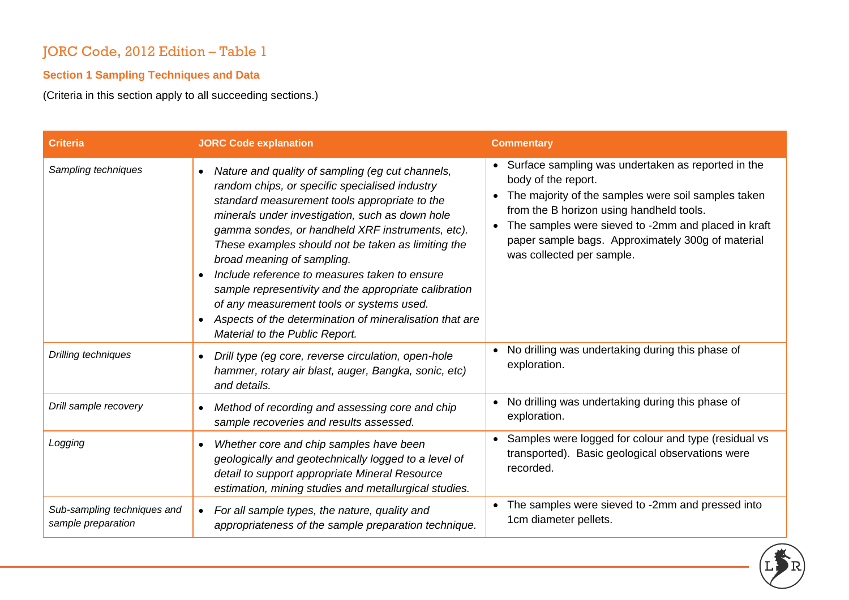# JORC Code, 2012 Edition – Table 1

# **Section 1 Sampling Techniques and Data**

(Criteria in this section apply to all succeeding sections.)

| <b>Criteria</b>                                   | <b>JORC Code explanation</b>                                                                                                                                                                                                                                                                                                                                                                                                                                                                                                                                                                                    | <b>Commentary</b>                                                                                                                                                                                                                                                                                                     |
|---------------------------------------------------|-----------------------------------------------------------------------------------------------------------------------------------------------------------------------------------------------------------------------------------------------------------------------------------------------------------------------------------------------------------------------------------------------------------------------------------------------------------------------------------------------------------------------------------------------------------------------------------------------------------------|-----------------------------------------------------------------------------------------------------------------------------------------------------------------------------------------------------------------------------------------------------------------------------------------------------------------------|
| Sampling techniques                               | Nature and quality of sampling (eg cut channels,<br>$\bullet$<br>random chips, or specific specialised industry<br>standard measurement tools appropriate to the<br>minerals under investigation, such as down hole<br>gamma sondes, or handheld XRF instruments, etc).<br>These examples should not be taken as limiting the<br>broad meaning of sampling.<br>Include reference to measures taken to ensure<br>sample representivity and the appropriate calibration<br>of any measurement tools or systems used.<br>Aspects of the determination of mineralisation that are<br>Material to the Public Report. | Surface sampling was undertaken as reported in the<br>body of the report.<br>The majority of the samples were soil samples taken<br>from the B horizon using handheld tools.<br>The samples were sieved to -2mm and placed in kraft<br>paper sample bags. Approximately 300g of material<br>was collected per sample. |
| Drilling techniques                               | Drill type (eg core, reverse circulation, open-hole<br>$\bullet$<br>hammer, rotary air blast, auger, Bangka, sonic, etc)<br>and details.                                                                                                                                                                                                                                                                                                                                                                                                                                                                        | No drilling was undertaking during this phase of<br>$\bullet$<br>exploration.                                                                                                                                                                                                                                         |
| Drill sample recovery                             | Method of recording and assessing core and chip<br>$\bullet$<br>sample recoveries and results assessed.                                                                                                                                                                                                                                                                                                                                                                                                                                                                                                         | No drilling was undertaking during this phase of<br>$\bullet$<br>exploration.                                                                                                                                                                                                                                         |
| Logging                                           | Whether core and chip samples have been<br>$\bullet$<br>geologically and geotechnically logged to a level of<br>detail to support appropriate Mineral Resource<br>estimation, mining studies and metallurgical studies.                                                                                                                                                                                                                                                                                                                                                                                         | Samples were logged for colour and type (residual vs<br>$\bullet$<br>transported). Basic geological observations were<br>recorded.                                                                                                                                                                                    |
| Sub-sampling techniques and<br>sample preparation | For all sample types, the nature, quality and<br>$\bullet$<br>appropriateness of the sample preparation technique.                                                                                                                                                                                                                                                                                                                                                                                                                                                                                              | The samples were sieved to -2mm and pressed into<br>1cm diameter pellets.                                                                                                                                                                                                                                             |

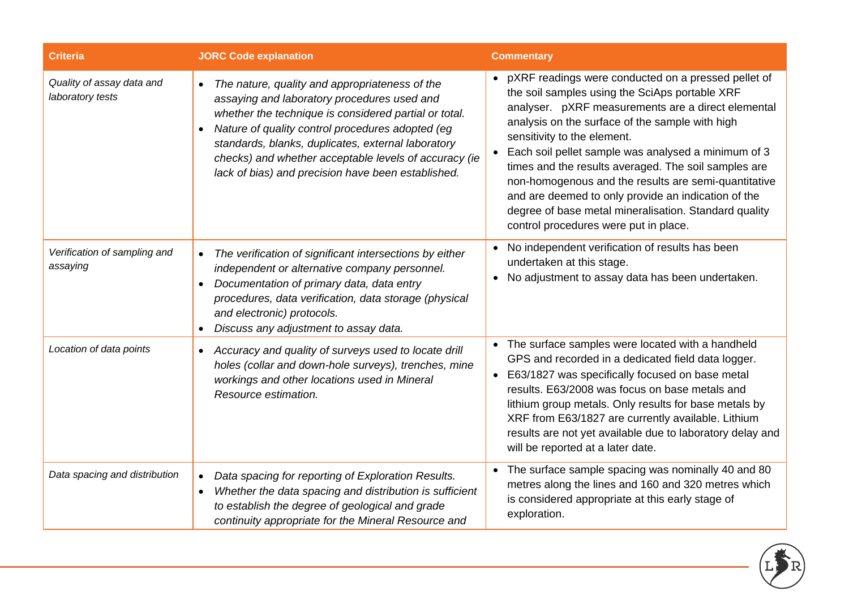| <b>Criteria</b>                               | <b>JORC Code explanation</b>                                                                                                                                                                                                                                                                                                                                                                 | <b>Commentary</b>                                                                                                                                                                                                                                                                                                                                                                                                                                                                                                                                                             |
|-----------------------------------------------|----------------------------------------------------------------------------------------------------------------------------------------------------------------------------------------------------------------------------------------------------------------------------------------------------------------------------------------------------------------------------------------------|-------------------------------------------------------------------------------------------------------------------------------------------------------------------------------------------------------------------------------------------------------------------------------------------------------------------------------------------------------------------------------------------------------------------------------------------------------------------------------------------------------------------------------------------------------------------------------|
| Quality of assay data and<br>laboratory tests | The nature, quality and appropriateness of the<br>$\bullet$<br>assaying and laboratory procedures used and<br>whether the technique is considered partial or total.<br>Nature of quality control procedures adopted (eg<br>standards, blanks, duplicates, external laboratory<br>checks) and whether acceptable levels of accuracy (ie<br>lack of bias) and precision have been established. | pXRF readings were conducted on a pressed pellet of<br>the soil samples using the SciAps portable XRF<br>analyser. pXRF measurements are a direct elemental<br>analysis on the surface of the sample with high<br>sensitivity to the element.<br>Each soil pellet sample was analysed a minimum of 3<br>times and the results averaged. The soil samples are<br>non-homogenous and the results are semi-quantitative<br>and are deemed to only provide an indication of the<br>degree of base metal mineralisation. Standard quality<br>control procedures were put in place. |
| Verification of sampling and<br>assaying      | The verification of significant intersections by either<br>$\bullet$<br>independent or alternative company personnel.<br>Documentation of primary data, data entry<br>procedures, data verification, data storage (physical<br>and electronic) protocols.<br>Discuss any adjustment to assay data.                                                                                           | No independent verification of results has been<br>undertaken at this stage.<br>No adjustment to assay data has been undertaken.                                                                                                                                                                                                                                                                                                                                                                                                                                              |
| Location of data points                       | • Accuracy and quality of surveys used to locate drill<br>holes (collar and down-hole surveys), trenches, mine<br>workings and other locations used in Mineral<br>Resource estimation.                                                                                                                                                                                                       | The surface samples were located with a handheld<br>$\bullet$<br>GPS and recorded in a dedicated field data logger.<br>E63/1827 was specifically focused on base metal<br>results. E63/2008 was focus on base metals and<br>lithium group metals. Only results for base metals by<br>XRF from E63/1827 are currently available. Lithium<br>results are not yet available due to laboratory delay and<br>will be reported at a later date.                                                                                                                                     |
| Data spacing and distribution                 | Data spacing for reporting of Exploration Results.<br>$\bullet$<br>Whether the data spacing and distribution is sufficient<br>to establish the degree of geological and grade<br>continuity appropriate for the Mineral Resource and                                                                                                                                                         | The surface sample spacing was nominally 40 and 80<br>metres along the lines and 160 and 320 metres which<br>is considered appropriate at this early stage of<br>exploration.                                                                                                                                                                                                                                                                                                                                                                                                 |

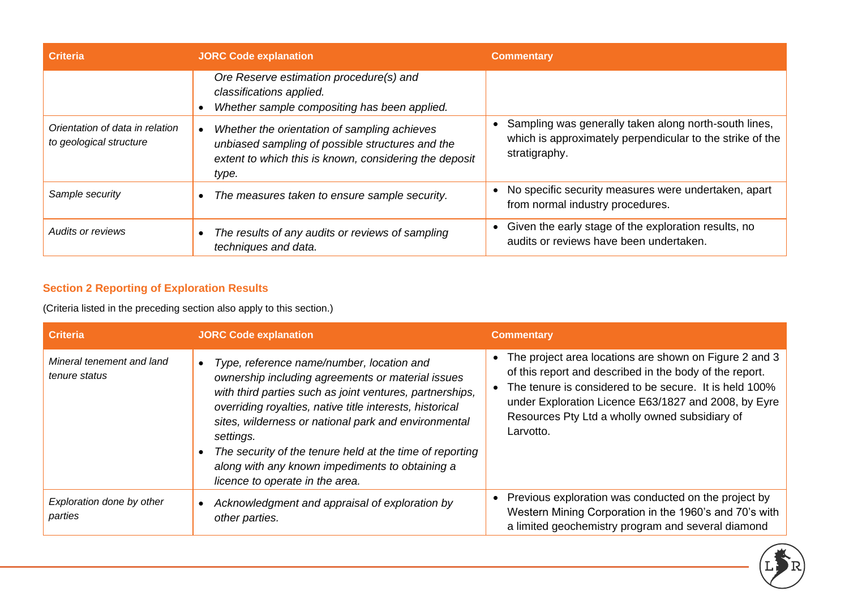| <b>Criteria</b>                                            | <b>JORC Code explanation</b>                                                                                                                                        | <b>Commentary</b>                                                                                                                   |
|------------------------------------------------------------|---------------------------------------------------------------------------------------------------------------------------------------------------------------------|-------------------------------------------------------------------------------------------------------------------------------------|
|                                                            | Ore Reserve estimation procedure(s) and<br>classifications applied.<br>Whether sample compositing has been applied.                                                 |                                                                                                                                     |
| Orientation of data in relation<br>to geological structure | Whether the orientation of sampling achieves<br>unbiased sampling of possible structures and the<br>extent to which this is known, considering the deposit<br>type. | Sampling was generally taken along north-south lines,<br>which is approximately perpendicular to the strike of the<br>stratigraphy. |
| Sample security                                            | The measures taken to ensure sample security.                                                                                                                       | No specific security measures were undertaken, apart<br>from normal industry procedures.                                            |
| Audits or reviews                                          | The results of any audits or reviews of sampling<br>techniques and data.                                                                                            | Given the early stage of the exploration results, no<br>audits or reviews have been undertaken.                                     |

# **Section 2 Reporting of Exploration Results**

(Criteria listed in the preceding section also apply to this section.)

| <b>Criteria</b>                            | <b>JORC Code explanation</b>                                                                                                                                                                                                                                                                                                                                                                                                                  | <b>Commentary</b>                                                                                                                                                                                                                                                                                  |
|--------------------------------------------|-----------------------------------------------------------------------------------------------------------------------------------------------------------------------------------------------------------------------------------------------------------------------------------------------------------------------------------------------------------------------------------------------------------------------------------------------|----------------------------------------------------------------------------------------------------------------------------------------------------------------------------------------------------------------------------------------------------------------------------------------------------|
| Mineral tenement and land<br>tenure status | Type, reference name/number, location and<br>ownership including agreements or material issues<br>with third parties such as joint ventures, partnerships,<br>overriding royalties, native title interests, historical<br>sites, wilderness or national park and environmental<br>settings.<br>The security of the tenure held at the time of reporting<br>along with any known impediments to obtaining a<br>licence to operate in the area. | The project area locations are shown on Figure 2 and 3<br>of this report and described in the body of the report.<br>The tenure is considered to be secure. It is held 100%<br>under Exploration Licence E63/1827 and 2008, by Eyre<br>Resources Pty Ltd a wholly owned subsidiary of<br>Larvotto. |
| Exploration done by other<br>parties       | Acknowledgment and appraisal of exploration by<br>other parties.                                                                                                                                                                                                                                                                                                                                                                              | Previous exploration was conducted on the project by<br>Western Mining Corporation in the 1960's and 70's with<br>a limited geochemistry program and several diamond                                                                                                                               |

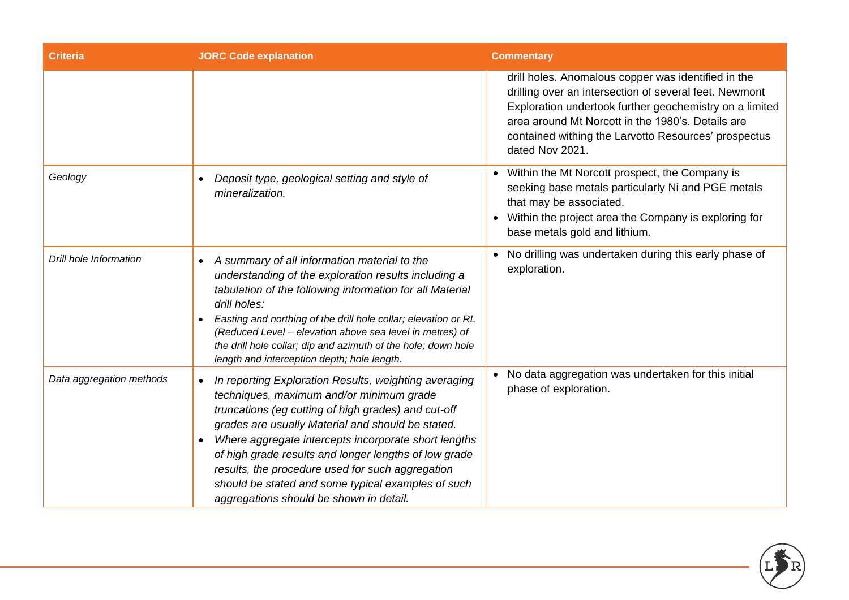| <b>Criteria</b>          | <b>JORC Code explanation</b>                                                                                                                                                                                                                                                                                                                                                                                                                                                                                  | <b>Commentary</b>                                                                                                                                                                                                                                                                                        |
|--------------------------|---------------------------------------------------------------------------------------------------------------------------------------------------------------------------------------------------------------------------------------------------------------------------------------------------------------------------------------------------------------------------------------------------------------------------------------------------------------------------------------------------------------|----------------------------------------------------------------------------------------------------------------------------------------------------------------------------------------------------------------------------------------------------------------------------------------------------------|
|                          |                                                                                                                                                                                                                                                                                                                                                                                                                                                                                                               | drill holes. Anomalous copper was identified in the<br>drilling over an intersection of several feet. Newmont<br>Exploration undertook further geochemistry on a limited<br>area around Mt Norcott in the 1980's. Details are<br>contained withing the Larvotto Resources' prospectus<br>dated Nov 2021. |
| Geology                  | Deposit type, geological setting and style of<br>mineralization.                                                                                                                                                                                                                                                                                                                                                                                                                                              | Within the Mt Norcott prospect, the Company is<br>seeking base metals particularly Ni and PGE metals<br>that may be associated.<br>Within the project area the Company is exploring for<br>base metals gold and lithium.                                                                                 |
| Drill hole Information   | A summary of all information material to the<br>$\bullet$<br>understanding of the exploration results including a<br>tabulation of the following information for all Material<br>drill holes:<br>Easting and northing of the drill hole collar; elevation or RL<br>$\bullet$<br>(Reduced Level - elevation above sea level in metres) of<br>the drill hole collar; dip and azimuth of the hole; down hole<br>length and interception depth; hole length.                                                      | No drilling was undertaken during this early phase of<br>exploration.                                                                                                                                                                                                                                    |
| Data aggregation methods | In reporting Exploration Results, weighting averaging<br>$\bullet$<br>techniques, maximum and/or minimum grade<br>truncations (eg cutting of high grades) and cut-off<br>grades are usually Material and should be stated.<br>Where aggregate intercepts incorporate short lengths<br>$\bullet$<br>of high grade results and longer lengths of low grade<br>results, the procedure used for such aggregation<br>should be stated and some typical examples of such<br>aggregations should be shown in detail. | No data aggregation was undertaken for this initial<br>phase of exploration.                                                                                                                                                                                                                             |